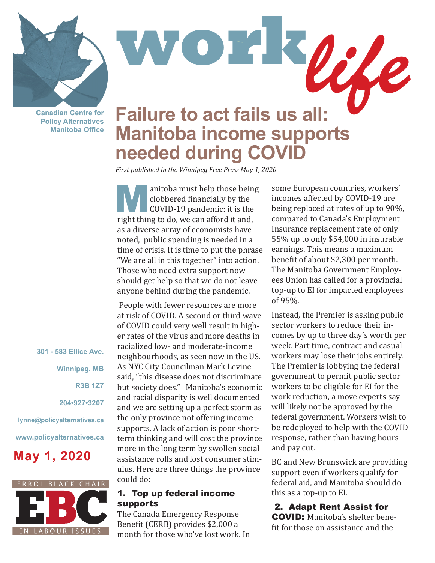**Canadian Centre for Policy Alternatives Manitoba Office**

# **WORK**<br> **Failure to act fails us all: Manitoba income supports needed during COVID**

*First published in the Winnipeg Free Press May 1, 2020*

anitoba must help those being<br>
clobbered financially by the<br>
COVID-19 pandemic: it is the<br>
wight thing to do we can efford it and clobbered financially by the right thing to do, we can afford it and, as a diverse array of economists have noted, public spending is needed in a time of crisis. It is time to put the phrase "We are all in this together" into action. Those who need extra support now should get help so that we do not leave anyone behind during the pandemic.

 People with fewer resources are more at risk of COVID. A second or third wave of COVID could very well result in higher rates of the virus and more deaths in racialized low- and moderate-income neighbourhoods, as seen now in the US. As NYC City Councilman Mark Levine said, "this disease does not discriminate but society does." Manitoba's economic and racial disparity is well documented and we are setting up a perfect storm as the only province not offering income supports. A lack of action is poor shortterm thinking and will cost the province more in the long term by swollen social assistance rolls and lost consumer stimulus. Here are three things the province could do:

#### 1. Top up federal income supports

The Canada Emergency Response Benefit (CERB) provides \$2,000 a month for those who've lost work. In some European countries, workers' incomes affected by COVID-19 are being replaced at rates of up to 90%, compared to Canada's Employment Insurance replacement rate of only 55% up to only \$54,000 in insurable earnings. This means a maximum benefit of about \$2,300 per month. The Manitoba Government Employees Union has called for a provincial top-up to EI for impacted employees of 95%.

Instead, the Premier is asking public sector workers to reduce their incomes by up to three day's worth per week. Part time, contract and casual workers may lose their jobs entirely. The Premier is lobbying the federal government to permit public sector workers to be eligible for EI for the work reduction, a move experts say will likely not be approved by the federal government. Workers wish to be redeployed to help with the COVID response, rather than having hours and pay cut.

BC and New Brunswick are providing support even if workers qualify for federal aid, and Manitoba should do this as a top-up to EI.

 2. Adapt Rent Assist for COVID: Manitoba's shelter benefit for those on assistance and the

**Winnipeg, MB R3B 1Z7** 

**301 - 583 Ellice Ave.**

**204•927•3207**

**lynne@policyalternatives.ca**

**www.policyalternatives.ca**

## **May 1, 2020**